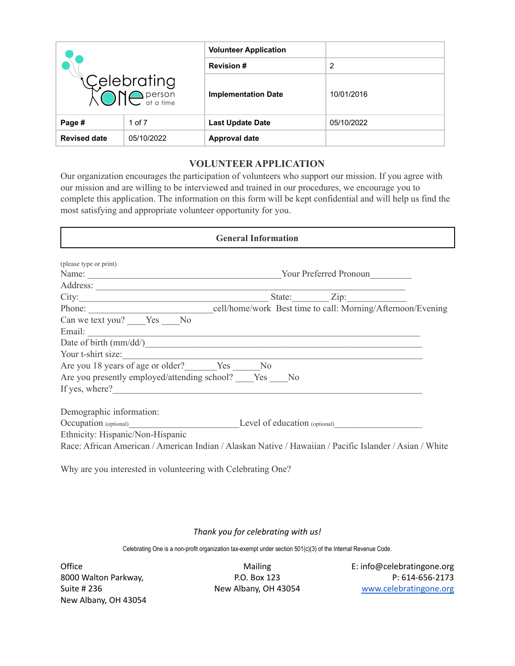| Celebrating<br>XONC <sup>person</sup> |            | <b>Volunteer Application</b> |            |
|---------------------------------------|------------|------------------------------|------------|
|                                       |            | <b>Revision #</b>            | 2          |
|                                       |            | <b>Implementation Date</b>   | 10/01/2016 |
| Page #<br>1 of 7                      |            | <b>Last Update Date</b>      | 05/10/2022 |
| <b>Revised date</b>                   | 05/10/2022 | <b>Approval date</b>         |            |

# **VOLUNTEER APPLICATION**

Our organization encourages the participation of volunteers who support our mission. If you agree with our mission and are willing to be interviewed and trained in our procedures, we encourage you to complete this application. The information on this form will be kept confidential and will help us find the most satisfying and appropriate volunteer opportunity for you.

| <b>General Information</b>                                                                                                                                                                                                    |             |
|-------------------------------------------------------------------------------------------------------------------------------------------------------------------------------------------------------------------------------|-------------|
| (please type or print)                                                                                                                                                                                                        |             |
| Name: Name: Name: Name: Name: Name: Name: Name: Name: Name: Name: Name: Name: Name: Name: Name: Name: Name: Name: Name: Name: Name: Name: Name: Name: Name: Name: Name: Name: Name: Name: Name: Name: Name: Name: Name: Name: |             |
|                                                                                                                                                                                                                               |             |
|                                                                                                                                                                                                                               | State: Zip: |
|                                                                                                                                                                                                                               |             |
| Can we text you? Yes No                                                                                                                                                                                                       |             |
|                                                                                                                                                                                                                               |             |
|                                                                                                                                                                                                                               |             |
| Your t-shirt size:                                                                                                                                                                                                            |             |
| Are you 18 years of age or older? Yes No                                                                                                                                                                                      |             |
| Are you presently employed/attending school? Yes No                                                                                                                                                                           |             |
| If yes, where?                                                                                                                                                                                                                |             |
| Demographic information:                                                                                                                                                                                                      |             |
| Occupation (optional)<br>Level of education (optional)<br>Level of education (optional)                                                                                                                                       |             |
| Ethnicity: Hispanic/Non-Hispanic                                                                                                                                                                                              |             |
| Race: African American / American Indian / Alaskan Native / Hawaiian / Pacific Islander / Asian / White                                                                                                                       |             |
| $\mathbf{v}$                                                                                                                                                                                                                  |             |

Why are you interested in volunteering with Celebrating One?

## *Thank you for celebrating with us!*

Celebrating One is a non-profit organization tax-exempt under section 501(c)(3) of the Internal Revenue Code.

New Albany, OH 43054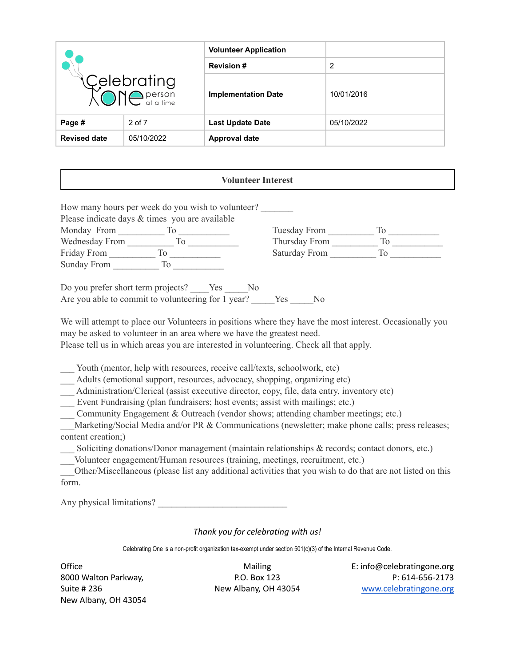| Celebrating<br>XONC <sup>person</sup> |            | <b>Volunteer Application</b> |            |
|---------------------------------------|------------|------------------------------|------------|
|                                       |            | <b>Revision #</b>            | 2          |
|                                       |            | <b>Implementation Date</b>   | 10/01/2016 |
| Page #                                | 2 of 7     | <b>Last Update Date</b>      | 05/10/2022 |
| <b>Revised date</b>                   | 05/10/2022 | <b>Approval date</b>         |            |

### **Volunteer Interest**

| How many hours per week do you wish to volunteer?<br>Please indicate days & times you are available |               |                 |
|-----------------------------------------------------------------------------------------------------|---------------|-----------------|
| Monday From<br>TΘ                                                                                   | Tuesday From  | TΘ              |
| Wednesday From                                                                                      | Thursday From |                 |
| Friday From                                                                                         | Saturday From | $\overline{10}$ |
| Sunday From<br>To                                                                                   |               |                 |
|                                                                                                     |               |                 |

| Do you prefer short term projects?                 | Yes | -No  |                |
|----------------------------------------------------|-----|------|----------------|
| Are you able to commit to volunteering for 1 year? |     | Yes. | N <sub>0</sub> |

We will attempt to place our Volunteers in positions where they have the most interest. Occasionally you may be asked to volunteer in an area where we have the greatest need.

Please tell us in which areas you are interested in volunteering. Check all that apply.

Youth (mentor, help with resources, receive call/texts, schoolwork, etc)

Adults (emotional support, resources, advocacy, shopping, organizing etc)

Administration/Clerical (assist executive director, copy, file, data entry, inventory etc)

Event Fundraising (plan fundraisers; host events; assist with mailings; etc.)

Community Engagement  $&$  Outreach (vendor shows; attending chamber meetings; etc.)

Marketing/Social Media and/or PR & Communications (newsletter; make phone calls; press releases; content creation;)

Soliciting donations/Donor management (maintain relationships & records; contact donors, etc.)

\_\_\_Volunteer engagement/Human resources (training, meetings, recruitment, etc.)

\_\_\_Other/Miscellaneous (please list any additional activities that you wish to do that are not listed on this form.

Any physical limitations?

## *Thank you for celebrating with us!*

Celebrating One is a non-profit organization tax-exempt under section 501(c)(3) of the Internal Revenue Code.

New Albany, OH 43054

Office **Mailing** E: info@celebratingone.org Mailing E: info@celebratingone.org 8000 Walton Parkway, P.O. Box 123 P: 614-656-2173 Suite # 236 New Albany, OH 43054 [www.celebratingone.org](http://www.celebratingone.org)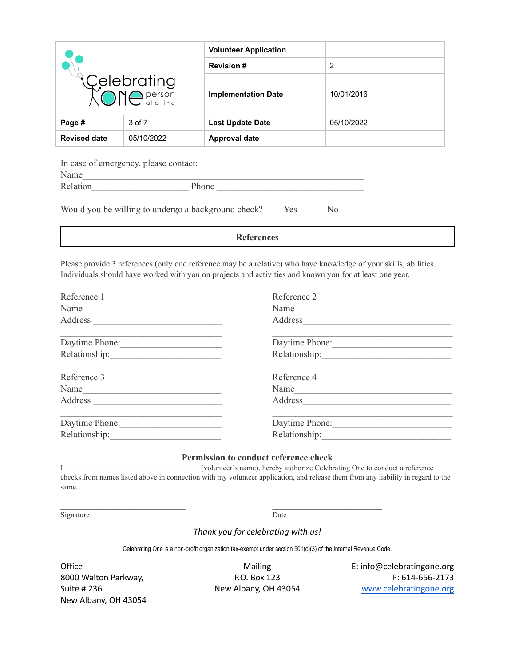| Celebrating<br>XONC <sup>person</sup> |            | <b>Volunteer Application</b> |            |
|---------------------------------------|------------|------------------------------|------------|
|                                       |            | <b>Revision #</b>            | 2          |
|                                       |            | <b>Implementation Date</b>   | 10/01/2016 |
| Page #                                | 3 of 7     | <b>Last Update Date</b>      | 05/10/2022 |
| <b>Revised date</b>                   | 05/10/2022 | <b>Approval date</b>         |            |

In case of emergency, please contact:

| Name |  |  |
|------|--|--|
|      |  |  |

| Relation | $\sim$<br>Phone |  |
|----------|-----------------|--|
|          |                 |  |

| Would you be willing to undergo a background check? |  |  | <b>Yes</b> | No. |
|-----------------------------------------------------|--|--|------------|-----|
|                                                     |  |  |            |     |

**References**

Please provide 3 references (only one reference may be a relative) who have knowledge of your skills, abilities. Individuals should have worked with you on projects and activities and known you for at least one year.

| Reference 1                                                                 | Reference 2    |
|-----------------------------------------------------------------------------|----------------|
| Name                                                                        | Name           |
|                                                                             | Address        |
| Daytime Phone:                                                              | Daytime Phone: |
|                                                                             |                |
| Reference 3                                                                 | Reference 4    |
| Name<br><u> 1986 - Johann Stein, mars an deus Amerikaansk kommunister (</u> | Name           |
| Address                                                                     | Address        |
| Daytime Phone:                                                              | Daytime Phone: |
|                                                                             |                |

#### **Permission to conduct reference check**

I\_\_\_\_\_\_\_\_\_\_\_\_\_\_\_\_\_\_\_\_\_\_\_\_\_\_\_\_\_\_\_\_\_\_\_\_ (volunteer's name), hereby authorize Celebrating One to conduct a reference checks from names listed above in connection with my volunteer application, and release them from any liability in regard to the same.

Signature Date

### *Thank you for celebrating with us!*

Celebrating One is a non-profit organization tax-exempt under section 501(c)(3) of the Internal Revenue Code.

New Albany, OH 43054

Office **Contract Contract Contract Contract Contract Contract Contract Contract Contract Contract Contract Contract Contract Contract Contract Contract Contract Contract Contract Contract Contract Contract Contract Contrac** 8000 Walton Parkway, The R.O. Box 123 P: 614-656-2173 Suite # 236 New Albany, OH 43054 [www.celebratingone.org](http://www.celebratingone.org)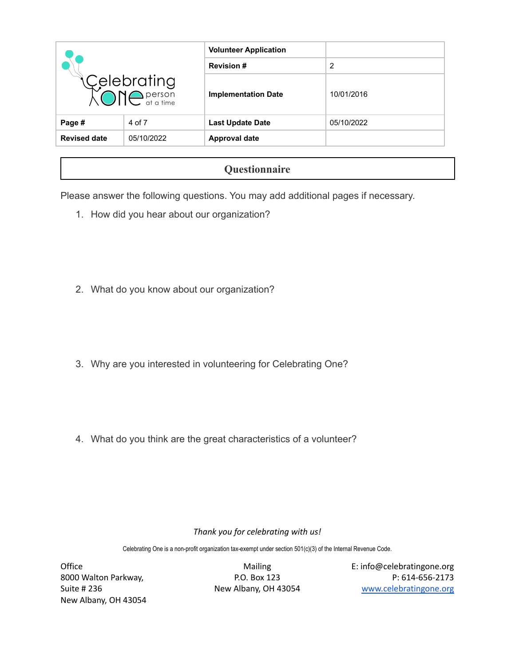|                                                 |            | <b>Volunteer Application</b> |            |
|-------------------------------------------------|------------|------------------------------|------------|
| Celebrating<br><b>AONC</b> <sub>at a time</sub> |            | <b>Revision #</b>            | 2          |
|                                                 |            | <b>Implementation Date</b>   | 10/01/2016 |
| Page #                                          | 4 of 7     | <b>Last Update Date</b>      | 05/10/2022 |
| <b>Revised date</b>                             | 05/10/2022 | <b>Approval date</b>         |            |

# **Questionnaire**

Please answer the following questions. You may add additional pages if necessary.

- 1. How did you hear about our organization?
- 2. What do you know about our organization?
- 3. Why are you interested in volunteering for Celebrating One?
- 4. What do you think are the great characteristics of a volunteer?

## *Thank you for celebrating with us!*

Celebrating One is a non-profit organization tax-exempt under section 501(c)(3) of the Internal Revenue Code.

New Albany, OH 43054

Office **Contract Contract Contract Contract Contract Contract Contract Contract Contract Contract Contract Contract Contract Contract Contract Contract Contract Contract Contract Contract Contract Contract Contract Contrac** 8000 Walton Parkway, The R.O. Box 123 P: 614-656-2173 Suite # 236 New Albany, OH 43054 [www.celebratingone.org](http://www.celebratingone.org)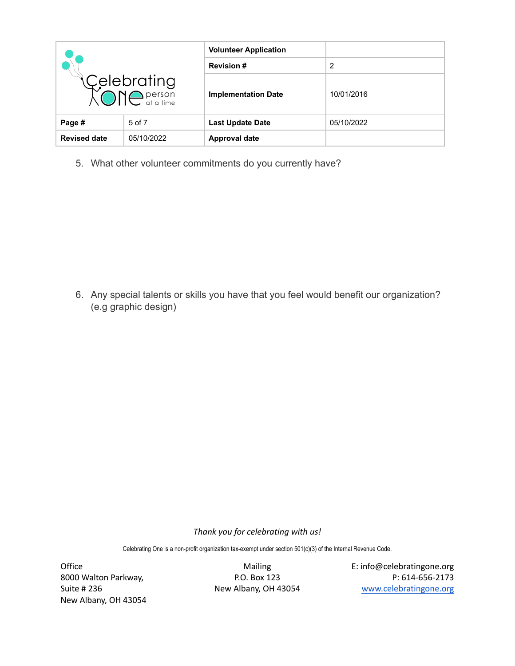| Celebrating<br>XONC <sup>person</sup> |        | <b>Volunteer Application</b> |            |
|---------------------------------------|--------|------------------------------|------------|
|                                       |        | <b>Revision #</b>            | 2          |
|                                       |        | <b>Implementation Date</b>   | 10/01/2016 |
| Page #                                | 5 of 7 | <b>Last Update Date</b>      | 05/10/2022 |
| <b>Revised date</b><br>05/10/2022     |        | <b>Approval date</b>         |            |

5. What other volunteer commitments do you currently have?

6. Any special talents or skills you have that you feel would benefit our organization? (e.g graphic design)

*Thank you for celebrating with us!*

Celebrating One is a non-profit organization tax-exempt under section 501(c)(3) of the Internal Revenue Code.

New Albany, OH 43054

Office **Contracts Contracts** Mailing **Contracts** E: info@celebratingone.org 8000 Walton Parkway, The Music P.O. Box 123 P.O. Box 123 P: 614-656-2173<br>Buite # 236 P: 614-656-2173 New Albany, OH 43054 Mew Workelebratingone.org New Albany, OH 43054 [www.celebratingone.org](http://www.celebratingone.org)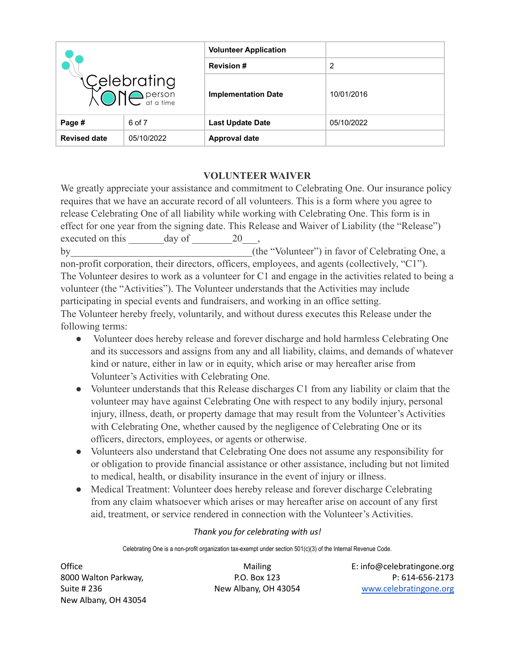| Celebrating<br>XONC <sup>person</sup> |            | <b>Volunteer Application</b> |            |  |
|---------------------------------------|------------|------------------------------|------------|--|
|                                       |            | <b>Revision #</b>            | 2          |  |
|                                       |            | <b>Implementation Date</b>   | 10/01/2016 |  |
| Page #                                | 6 of 7     | <b>Last Update Date</b>      | 05/10/2022 |  |
| <b>Revised date</b>                   | 05/10/2022 | <b>Approval date</b>         |            |  |

# **VOLUNTEER WAIVER**

We greatly appreciate your assistance and commitment to Celebrating One. Our insurance policy requires that we have an accurate record of all volunteers. This is a form where you agree to release Celebrating One of all liability while working with Celebrating One. This form is in effect for one year from the signing date. This Release and Waiver of Liability (the "Release") executed on this day of 20 by the "Volunteer") in favor of Celebrating One, a non-profit corporation, their directors, officers, employees, and agents (collectively, "C1"). The Volunteer desires to work as a volunteer for C1 and engage in the activities related to being a volunteer (the "Activities"). The Volunteer understands that the Activities may include participating in special events and fundraisers, and working in an office setting. The Volunteer hereby freely, voluntarily, and without duress executes this Release under the following terms:

- Volunteer does hereby release and forever discharge and hold harmless Celebrating One and its successors and assigns from any and all liability, claims, and demands of whatever kind or nature, either in law or in equity, which arise or may hereafter arise from Volunteer's Activities with Celebrating One.
- Volunteer understands that this Release discharges C1 from any liability or claim that the volunteer may have against Celebrating One with respect to any bodily injury, personal injury, illness, death, or property damage that may result from the Volunteer's Activities with Celebrating One, whether caused by the negligence of Celebrating One or its officers, directors, employees, or agents or otherwise.
- Volunteers also understand that Celebrating One does not assume any responsibility for or obligation to provide financial assistance or other assistance, including but not limited to medical, health, or disability insurance in the event of injury or illness.
- Medical Treatment: Volunteer does hereby release and forever discharge Celebrating from any claim whatsoever which arises or may hereafter arise on account of any first aid, treatment, or service rendered in connection with the Volunteer's Activities.

## *Thank you for celebrating with us!*

Celebrating One is a non-profit organization tax-exempt under section 501(c)(3) of the Internal Revenue Code.

New Albany, OH 43054